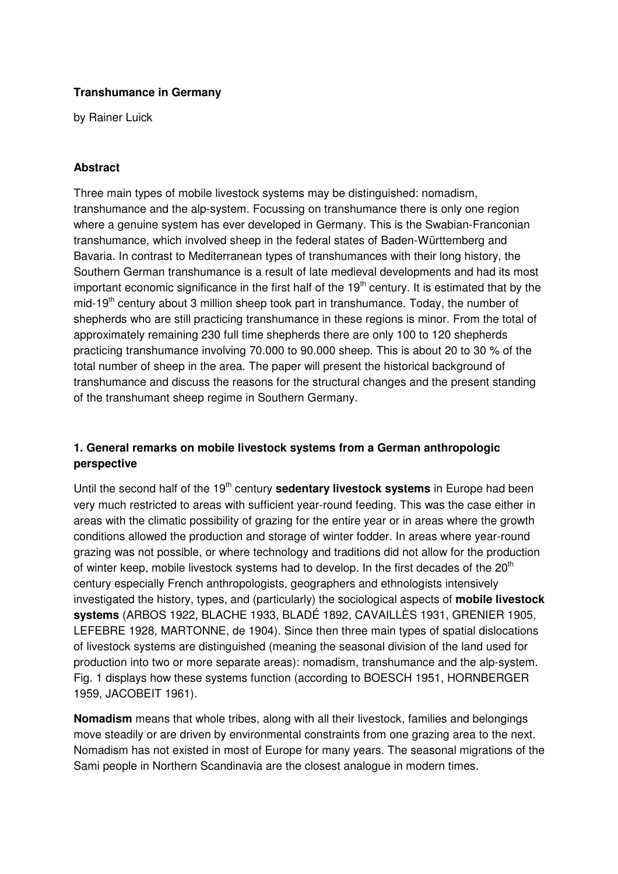#### **Transhumance in Germany**

by Rainer Luick

#### **Abstract**

Three main types of mobile livestock systems may be distinguished: nomadism, transhumance and the alp-system. Focussing on transhumance there is only one region where a genuine system has ever developed in Germany. This is the Swabian-Franconian transhumance, which involved sheep in the federal states of Baden-Württemberg and Bavaria. In contrast to Mediterranean types of transhumances with their long history, the Southern German transhumance is a result of late medieval developments and had its most important economic significance in the first half of the  $19<sup>th</sup>$  century. It is estimated that by the mid-19<sup>th</sup> century about 3 million sheep took part in transhumance. Today, the number of shepherds who are still practicing transhumance in these regions is minor. From the total of approximately remaining 230 full time shepherds there are only 100 to 120 shepherds practicing transhumance involving 70.000 to 90.000 sheep. This is about 20 to 30 % of the total number of sheep in the area. The paper will present the historical background of transhumance and discuss the reasons for the structural changes and the present standing of the transhumant sheep regime in Southern Germany.

#### **1. General remarks on mobile livestock systems from a German anthropologic perspective**

Until the second half of the 19<sup>th</sup> century **sedentary livestock systems** in Europe had been very much restricted to areas with sufficient year-round feeding. This was the case either in areas with the climatic possibility of grazing for the entire year or in areas where the growth conditions allowed the production and storage of winter fodder. In areas where year-round grazing was not possible, or where technology and traditions did not allow for the production of winter keep, mobile livestock systems had to develop. In the first decades of the 20<sup>th</sup> century especially French anthropologists, geographers and ethnologists intensively investigated the history, types, and (particularly) the sociological aspects of **mobile livestock systems** (ARBOS 1922, BLACHE 1933, BLADÉ 1892, CAVAILLÈS 1931, GRENIER 1905, LEFEBRE 1928, MARTONNE, de 1904). Since then three main types of spatial dislocations of livestock systems are distinguished (meaning the seasonal division of the land used for production into two or more separate areas): nomadism, transhumance and the alp-system. Fig. 1 displays how these systems function (according to BOESCH 1951, HORNBERGER 1959, JACOBEIT 1961).

**Nomadism** means that whole tribes, along with all their livestock, families and belongings move steadily or are driven by environmental constraints from one grazing area to the next. Nomadism has not existed in most of Europe for many years. The seasonal migrations of the Sami people in Northern Scandinavia are the closest analogue in modern times.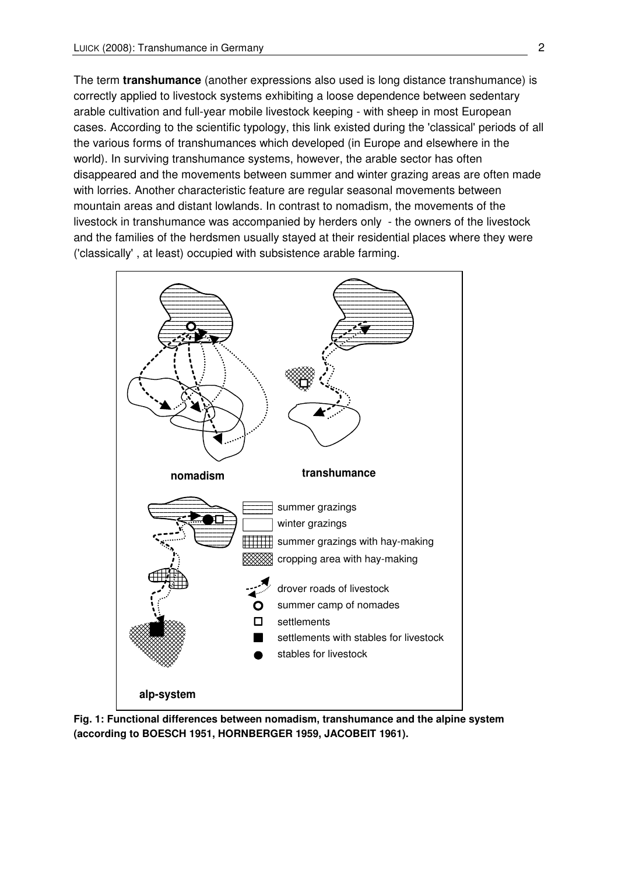The term **transhumance** (another expressions also used is long distance transhumance) is correctly applied to livestock systems exhibiting a loose dependence between sedentary arable cultivation and full-year mobile livestock keeping - with sheep in most European cases. According to the scientific typology, this link existed during the 'classical' periods of all the various forms of transhumances which developed (in Europe and elsewhere in the world). In surviving transhumance systems, however, the arable sector has often disappeared and the movements between summer and winter grazing areas are often made with lorries. Another characteristic feature are regular seasonal movements between mountain areas and distant lowlands. In contrast to nomadism, the movements of the livestock in transhumance was accompanied by herders only - the owners of the livestock and the families of the herdsmen usually stayed at their residential places where they were ('classically' , at least) occupied with subsistence arable farming.



**Fig. 1: Functional differences between nomadism, transhumance and the alpine system (according to BOESCH 1951, HORNBERGER 1959, JACOBEIT 1961).**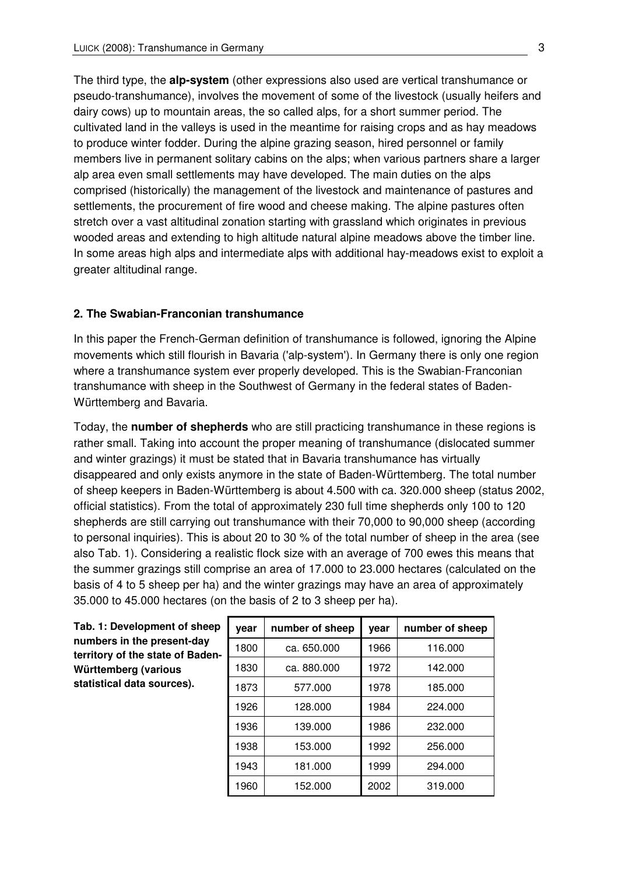The third type, the **alp-system** (other expressions also used are vertical transhumance or pseudo-transhumance), involves the movement of some of the livestock (usually heifers and dairy cows) up to mountain areas, the so called alps, for a short summer period. The cultivated land in the valleys is used in the meantime for raising crops and as hay meadows to produce winter fodder. During the alpine grazing season, hired personnel or family members live in permanent solitary cabins on the alps; when various partners share a larger alp area even small settlements may have developed. The main duties on the alps comprised (historically) the management of the livestock and maintenance of pastures and settlements, the procurement of fire wood and cheese making. The alpine pastures often stretch over a vast altitudinal zonation starting with grassland which originates in previous wooded areas and extending to high altitude natural alpine meadows above the timber line. In some areas high alps and intermediate alps with additional hay-meadows exist to exploit a greater altitudinal range.

#### **2. The Swabian-Franconian transhumance**

In this paper the French-German definition of transhumance is followed, ignoring the Alpine movements which still flourish in Bavaria ('alp-system'). In Germany there is only one region where a transhumance system ever properly developed. This is the Swabian-Franconian transhumance with sheep in the Southwest of Germany in the federal states of Baden-Württemberg and Bavaria.

Today, the **number of shepherds** who are still practicing transhumance in these regions is rather small. Taking into account the proper meaning of transhumance (dislocated summer and winter grazings) it must be stated that in Bavaria transhumance has virtually disappeared and only exists anymore in the state of Baden-Württemberg. The total number of sheep keepers in Baden-Württemberg is about 4.500 with ca. 320.000 sheep (status 2002, official statistics). From the total of approximately 230 full time shepherds only 100 to 120 shepherds are still carrying out transhumance with their 70,000 to 90,000 sheep (according to personal inquiries). This is about 20 to 30 % of the total number of sheep in the area (see also Tab. 1). Considering a realistic flock size with an average of 700 ewes this means that the summer grazings still comprise an area of 17.000 to 23.000 hectares (calculated on the basis of 4 to 5 sheep per ha) and the winter grazings may have an area of approximately 35.000 to 45.000 hectares (on the basis of 2 to 3 sheep per ha).

**Tab. 1: Development of sheep numbers in the present-day territory of the state of Baden-Württemberg (various statistical data sources).** 

| vear | number of sheep | year | number of sheep |
|------|-----------------|------|-----------------|
| 1800 | ca. 650.000     | 1966 | 116.000         |
| 1830 | ca. 880.000     | 1972 | 142.000         |
| 1873 | 577.000         | 1978 | 185.000         |
| 1926 | 128.000         | 1984 | 224.000         |
| 1936 | 139.000         | 1986 | 232.000         |
| 1938 | 153.000         | 1992 | 256.000         |
| 1943 | 181.000         | 1999 | 294.000         |
| 1960 | 152.000         | 2002 | 319.000         |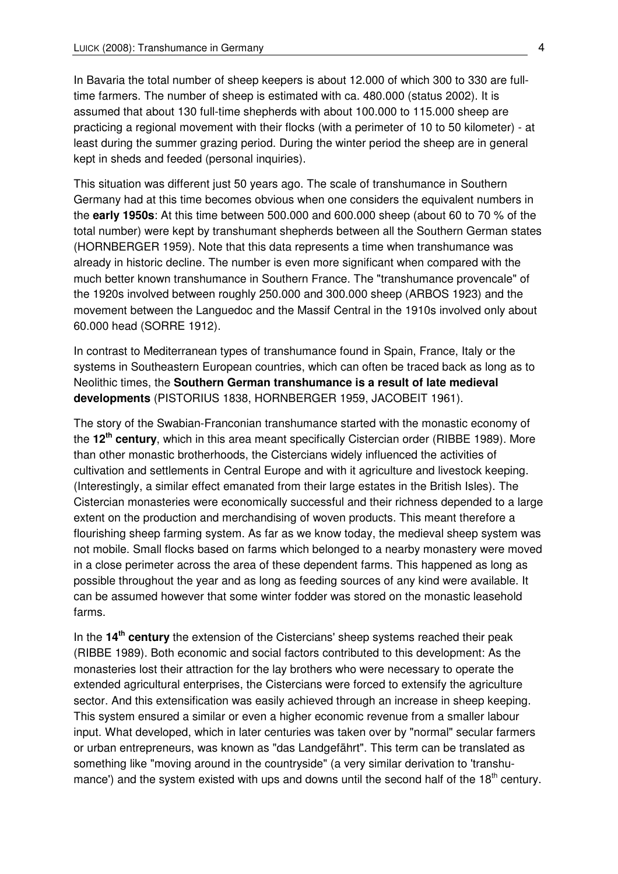In Bavaria the total number of sheep keepers is about 12.000 of which 300 to 330 are fulltime farmers. The number of sheep is estimated with ca. 480.000 (status 2002). It is assumed that about 130 full-time shepherds with about 100.000 to 115.000 sheep are practicing a regional movement with their flocks (with a perimeter of 10 to 50 kilometer) - at least during the summer grazing period. During the winter period the sheep are in general kept in sheds and feeded (personal inquiries).

This situation was different just 50 years ago. The scale of transhumance in Southern Germany had at this time becomes obvious when one considers the equivalent numbers in the **early 1950s**: At this time between 500.000 and 600.000 sheep (about 60 to 70 % of the total number) were kept by transhumant shepherds between all the Southern German states (HORNBERGER 1959). Note that this data represents a time when transhumance was already in historic decline. The number is even more significant when compared with the much better known transhumance in Southern France. The "transhumance provencale" of the 1920s involved between roughly 250.000 and 300.000 sheep (ARBOS 1923) and the movement between the Languedoc and the Massif Central in the 1910s involved only about 60.000 head (SORRE 1912).

In contrast to Mediterranean types of transhumance found in Spain, France, Italy or the systems in Southeastern European countries, which can often be traced back as long as to Neolithic times, the **Southern German transhumance is a result of late medieval developments** (PISTORIUS 1838, HORNBERGER 1959, JACOBEIT 1961).

The story of the Swabian-Franconian transhumance started with the monastic economy of the **12th century**, which in this area meant specifically Cistercian order (RIBBE 1989). More than other monastic brotherhoods, the Cistercians widely influenced the activities of cultivation and settlements in Central Europe and with it agriculture and livestock keeping. (Interestingly, a similar effect emanated from their large estates in the British Isles). The Cistercian monasteries were economically successful and their richness depended to a large extent on the production and merchandising of woven products. This meant therefore a flourishing sheep farming system. As far as we know today, the medieval sheep system was not mobile. Small flocks based on farms which belonged to a nearby monastery were moved in a close perimeter across the area of these dependent farms. This happened as long as possible throughout the year and as long as feeding sources of any kind were available. It can be assumed however that some winter fodder was stored on the monastic leasehold farms.

In the **14th century** the extension of the Cistercians' sheep systems reached their peak (RIBBE 1989). Both economic and social factors contributed to this development: As the monasteries lost their attraction for the lay brothers who were necessary to operate the extended agricultural enterprises, the Cistercians were forced to extensify the agriculture sector. And this extensification was easily achieved through an increase in sheep keeping. This system ensured a similar or even a higher economic revenue from a smaller labour input. What developed, which in later centuries was taken over by "normal" secular farmers or urban entrepreneurs, was known as "das Landgefährt". This term can be translated as something like "moving around in the countryside" (a very similar derivation to 'transhumance') and the system existed with ups and downs until the second half of the  $18<sup>th</sup>$  century.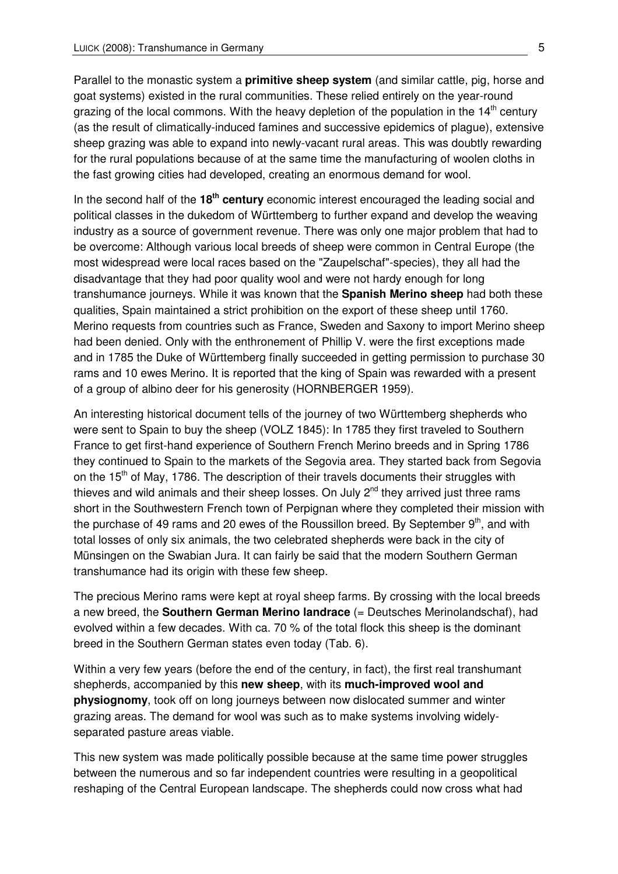Parallel to the monastic system a **primitive sheep system** (and similar cattle, pig, horse and goat systems) existed in the rural communities. These relied entirely on the year-round grazing of the local commons. With the heavy depletion of the population in the  $14<sup>th</sup>$  century (as the result of climatically-induced famines and successive epidemics of plague), extensive sheep grazing was able to expand into newly-vacant rural areas. This was doubtly rewarding for the rural populations because of at the same time the manufacturing of woolen cloths in the fast growing cities had developed, creating an enormous demand for wool.

In the second half of the **18th century** economic interest encouraged the leading social and political classes in the dukedom of Württemberg to further expand and develop the weaving industry as a source of government revenue. There was only one major problem that had to be overcome: Although various local breeds of sheep were common in Central Europe (the most widespread were local races based on the "Zaupelschaf"-species), they all had the disadvantage that they had poor quality wool and were not hardy enough for long transhumance journeys. While it was known that the **Spanish Merino sheep** had both these qualities, Spain maintained a strict prohibition on the export of these sheep until 1760. Merino requests from countries such as France, Sweden and Saxony to import Merino sheep had been denied. Only with the enthronement of Phillip V. were the first exceptions made and in 1785 the Duke of Württemberg finally succeeded in getting permission to purchase 30 rams and 10 ewes Merino. It is reported that the king of Spain was rewarded with a present of a group of albino deer for his generosity (HORNBERGER 1959).

An interesting historical document tells of the journey of two Württemberg shepherds who were sent to Spain to buy the sheep (VOLZ 1845): In 1785 they first traveled to Southern France to get first-hand experience of Southern French Merino breeds and in Spring 1786 they continued to Spain to the markets of the Segovia area. They started back from Segovia on the 15<sup>th</sup> of May, 1786. The description of their travels documents their struggles with thieves and wild animals and their sheep losses. On July  $2^{nd}$  they arrived just three rams short in the Southwestern French town of Perpignan where they completed their mission with the purchase of 49 rams and 20 ewes of the Roussillon breed. By September  $9<sup>th</sup>$ , and with total losses of only six animals, the two celebrated shepherds were back in the city of Münsingen on the Swabian Jura. It can fairly be said that the modern Southern German transhumance had its origin with these few sheep.

The precious Merino rams were kept at royal sheep farms. By crossing with the local breeds a new breed, the **Southern German Merino landrace** (= Deutsches Merinolandschaf), had evolved within a few decades. With ca. 70 % of the total flock this sheep is the dominant breed in the Southern German states even today (Tab. 6).

Within a very few years (before the end of the century, in fact), the first real transhumant shepherds, accompanied by this **new sheep**, with its **much-improved wool and physiognomy**, took off on long journeys between now dislocated summer and winter grazing areas. The demand for wool was such as to make systems involving widelyseparated pasture areas viable.

This new system was made politically possible because at the same time power struggles between the numerous and so far independent countries were resulting in a geopolitical reshaping of the Central European landscape. The shepherds could now cross what had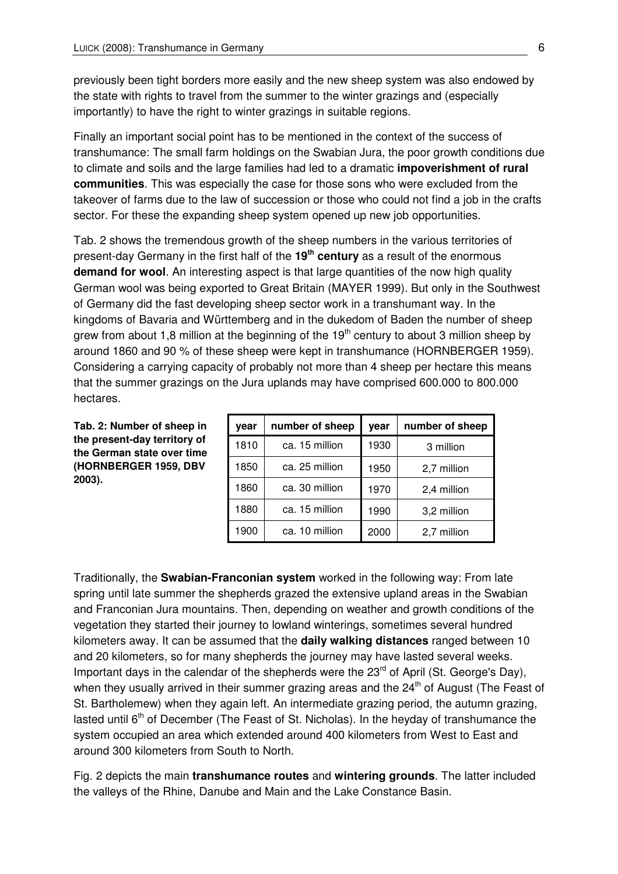previously been tight borders more easily and the new sheep system was also endowed by the state with rights to travel from the summer to the winter grazings and (especially importantly) to have the right to winter grazings in suitable regions.

Finally an important social point has to be mentioned in the context of the success of transhumance: The small farm holdings on the Swabian Jura, the poor growth conditions due to climate and soils and the large families had led to a dramatic **impoverishment of rural communities**. This was especially the case for those sons who were excluded from the takeover of farms due to the law of succession or those who could not find a job in the crafts sector. For these the expanding sheep system opened up new job opportunities.

Tab. 2 shows the tremendous growth of the sheep numbers in the various territories of present-day Germany in the first half of the **19th century** as a result of the enormous **demand for wool**. An interesting aspect is that large quantities of the now high quality German wool was being exported to Great Britain (MAYER 1999). But only in the Southwest of Germany did the fast developing sheep sector work in a transhumant way. In the kingdoms of Bavaria and Württemberg and in the dukedom of Baden the number of sheep grew from about 1,8 million at the beginning of the  $19<sup>th</sup>$  century to about 3 million sheep by around 1860 and 90 % of these sheep were kept in transhumance (HORNBERGER 1959). Considering a carrying capacity of probably not more than 4 sheep per hectare this means that the summer grazings on the Jura uplands may have comprised 600.000 to 800.000 hectares.

**Tab. 2: Number of sheep in the present-day territory of the German state over time (HORNBERGER 1959, DBV 2003).** 

| year | number of sheep | year | number of sheep |
|------|-----------------|------|-----------------|
| 1810 | ca. 15 million  | 1930 | 3 million       |
| 1850 | ca. 25 million  | 1950 | 2,7 million     |
| 1860 | ca. 30 million  | 1970 | 2,4 million     |
| 1880 | ca. 15 million  | 1990 | 3,2 million     |
| 1900 | ca. 10 million  | 2000 | 2,7 million     |

Traditionally, the **Swabian-Franconian system** worked in the following way: From late spring until late summer the shepherds grazed the extensive upland areas in the Swabian and Franconian Jura mountains. Then, depending on weather and growth conditions of the vegetation they started their journey to lowland winterings, sometimes several hundred kilometers away. It can be assumed that the **daily walking distances** ranged between 10 and 20 kilometers, so for many shepherds the journey may have lasted several weeks. Important days in the calendar of the shepherds were the  $23<sup>rd</sup>$  of April (St. George's Day), when they usually arrived in their summer grazing areas and the  $24<sup>th</sup>$  of August (The Feast of St. Bartholemew) when they again left. An intermediate grazing period, the autumn grazing, lasted until  $6<sup>th</sup>$  of December (The Feast of St. Nicholas). In the heyday of transhumance the system occupied an area which extended around 400 kilometers from West to East and around 300 kilometers from South to North.

Fig. 2 depicts the main **transhumance routes** and **wintering grounds**. The latter included the valleys of the Rhine, Danube and Main and the Lake Constance Basin.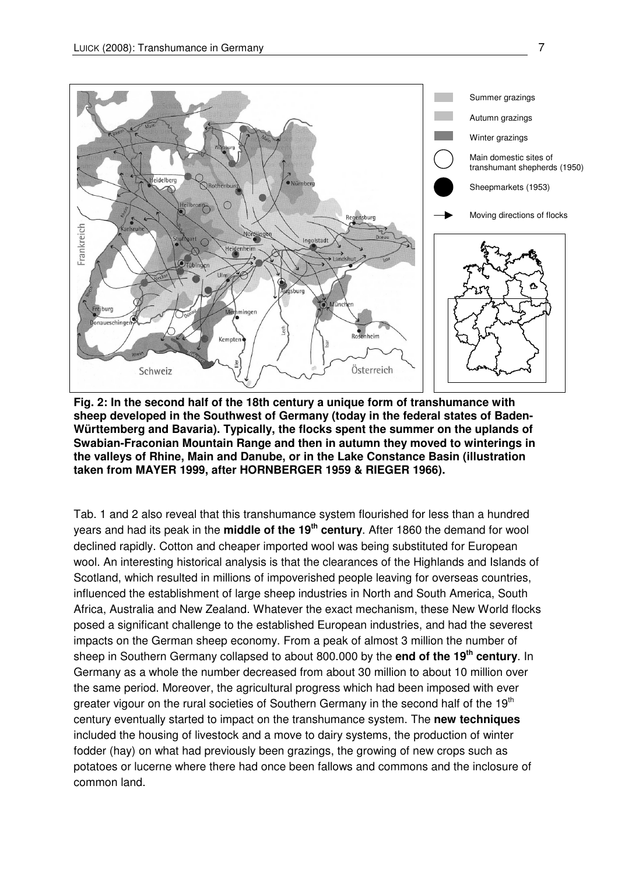

**Fig. 2: In the second half of the 18th century a unique form of transhumance with sheep developed in the Southwest of Germany (today in the federal states of Baden-Württemberg and Bavaria). Typically, the flocks spent the summer on the uplands of Swabian-Fraconian Mountain Range and then in autumn they moved to winterings in the valleys of Rhine, Main and Danube, or in the Lake Constance Basin (illustration taken from MAYER 1999, after HORNBERGER 1959 & RIEGER 1966).**

Tab. 1 and 2 also reveal that this transhumance system flourished for less than a hundred years and had its peak in the **middle of the 19th century**. After 1860 the demand for wool declined rapidly. Cotton and cheaper imported wool was being substituted for European wool. An interesting historical analysis is that the clearances of the Highlands and Islands of Scotland, which resulted in millions of impoverished people leaving for overseas countries, influenced the establishment of large sheep industries in North and South America, South Africa, Australia and New Zealand. Whatever the exact mechanism, these New World flocks posed a significant challenge to the established European industries, and had the severest impacts on the German sheep economy. From a peak of almost 3 million the number of sheep in Southern Germany collapsed to about 800.000 by the **end of the 19th century**. In Germany as a whole the number decreased from about 30 million to about 10 million over the same period. Moreover, the agricultural progress which had been imposed with ever greater vigour on the rural societies of Southern Germany in the second half of the 19<sup>th</sup> century eventually started to impact on the transhumance system. The **new techniques** included the housing of livestock and a move to dairy systems, the production of winter fodder (hay) on what had previously been grazings, the growing of new crops such as potatoes or lucerne where there had once been fallows and commons and the inclosure of common land.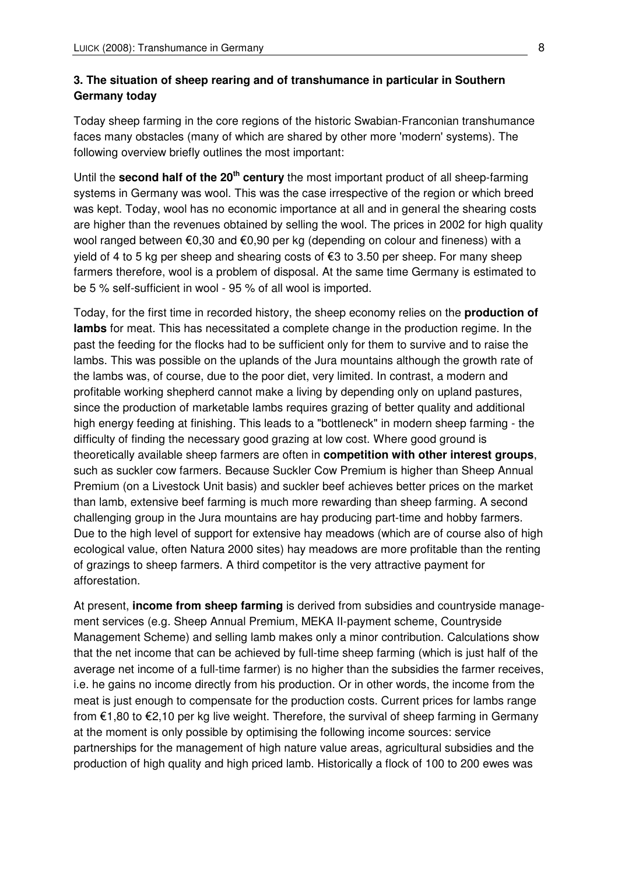#### **3. The situation of sheep rearing and of transhumance in particular in Southern Germany today**

Today sheep farming in the core regions of the historic Swabian-Franconian transhumance faces many obstacles (many of which are shared by other more 'modern' systems). The following overview briefly outlines the most important:

Until the **second half of the 20th century** the most important product of all sheep-farming systems in Germany was wool. This was the case irrespective of the region or which breed was kept. Today, wool has no economic importance at all and in general the shearing costs are higher than the revenues obtained by selling the wool. The prices in 2002 for high quality wool ranged between €0,30 and €0,90 per kg (depending on colour and fineness) with a yield of 4 to 5 kg per sheep and shearing costs of €3 to 3.50 per sheep. For many sheep farmers therefore, wool is a problem of disposal. At the same time Germany is estimated to be 5 % self-sufficient in wool - 95 % of all wool is imported.

Today, for the first time in recorded history, the sheep economy relies on the **production of lambs** for meat. This has necessitated a complete change in the production regime. In the past the feeding for the flocks had to be sufficient only for them to survive and to raise the lambs. This was possible on the uplands of the Jura mountains although the growth rate of the lambs was, of course, due to the poor diet, very limited. In contrast, a modern and profitable working shepherd cannot make a living by depending only on upland pastures, since the production of marketable lambs requires grazing of better quality and additional high energy feeding at finishing. This leads to a "bottleneck" in modern sheep farming - the difficulty of finding the necessary good grazing at low cost. Where good ground is theoretically available sheep farmers are often in **competition with other interest groups**, such as suckler cow farmers. Because Suckler Cow Premium is higher than Sheep Annual Premium (on a Livestock Unit basis) and suckler beef achieves better prices on the market than lamb, extensive beef farming is much more rewarding than sheep farming. A second challenging group in the Jura mountains are hay producing part-time and hobby farmers. Due to the high level of support for extensive hay meadows (which are of course also of high ecological value, often Natura 2000 sites) hay meadows are more profitable than the renting of grazings to sheep farmers. A third competitor is the very attractive payment for afforestation.

At present, **income from sheep farming** is derived from subsidies and countryside management services (e.g. Sheep Annual Premium, MEKA II-payment scheme, Countryside Management Scheme) and selling lamb makes only a minor contribution. Calculations show that the net income that can be achieved by full-time sheep farming (which is just half of the average net income of a full-time farmer) is no higher than the subsidies the farmer receives, i.e. he gains no income directly from his production. Or in other words, the income from the meat is just enough to compensate for the production costs. Current prices for lambs range from €1,80 to €2,10 per kg live weight. Therefore, the survival of sheep farming in Germany at the moment is only possible by optimising the following income sources: service partnerships for the management of high nature value areas, agricultural subsidies and the production of high quality and high priced lamb. Historically a flock of 100 to 200 ewes was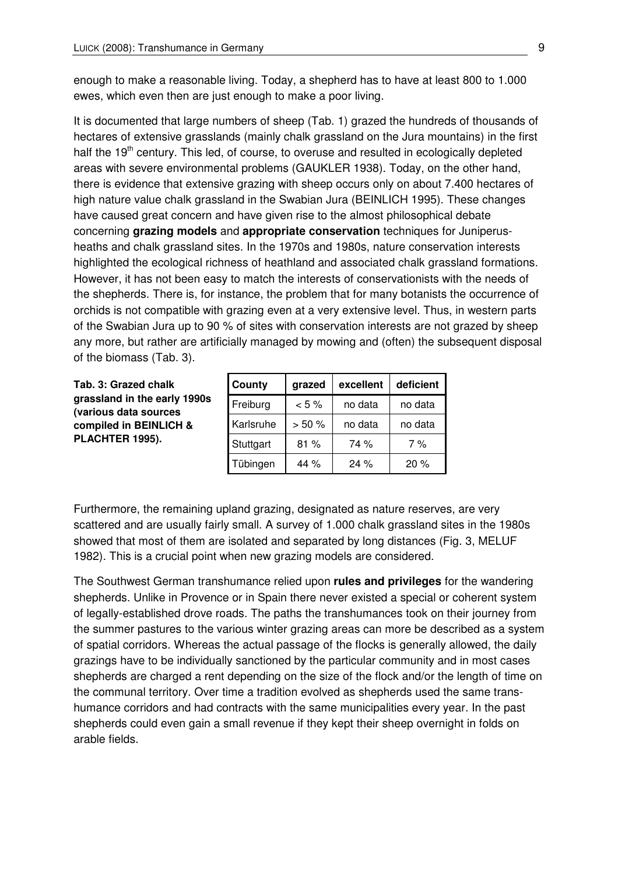enough to make a reasonable living. Today, a shepherd has to have at least 800 to 1.000 ewes, which even then are just enough to make a poor living.

It is documented that large numbers of sheep (Tab. 1) grazed the hundreds of thousands of hectares of extensive grasslands (mainly chalk grassland on the Jura mountains) in the first half the  $19<sup>th</sup>$  century. This led, of course, to overuse and resulted in ecologically depleted areas with severe environmental problems (GAUKLER 1938). Today, on the other hand, there is evidence that extensive grazing with sheep occurs only on about 7.400 hectares of high nature value chalk grassland in the Swabian Jura (BEINLICH 1995). These changes have caused great concern and have given rise to the almost philosophical debate concerning **grazing models** and **appropriate conservation** techniques for Juniperusheaths and chalk grassland sites. In the 1970s and 1980s, nature conservation interests highlighted the ecological richness of heathland and associated chalk grassland formations. However, it has not been easy to match the interests of conservationists with the needs of the shepherds. There is, for instance, the problem that for many botanists the occurrence of orchids is not compatible with grazing even at a very extensive level. Thus, in western parts of the Swabian Jura up to 90 % of sites with conservation interests are not grazed by sheep any more, but rather are artificially managed by mowing and (often) the subsequent disposal of the biomass (Tab. 3).

**Tab. 3: Grazed chalk grassland in the early 1990s (various data sources compiled in BEINLICH & PLACHTER 1995).** 

| County    | grazed   | excellent | deficient |
|-----------|----------|-----------|-----------|
| Freiburg  | $< 5 \%$ | no data   | no data   |
| Karlsruhe | > 50%    | no data   | no data   |
| Stuttgart | 81%      | 74 %      | 7 %       |
| Tübingen  | 44 $\%$  | 24%       | 20%       |

Furthermore, the remaining upland grazing, designated as nature reserves, are very scattered and are usually fairly small. A survey of 1.000 chalk grassland sites in the 1980s showed that most of them are isolated and separated by long distances (Fig. 3, MELUF 1982). This is a crucial point when new grazing models are considered.

The Southwest German transhumance relied upon **rules and privileges** for the wandering shepherds. Unlike in Provence or in Spain there never existed a special or coherent system of legally-established drove roads. The paths the transhumances took on their journey from the summer pastures to the various winter grazing areas can more be described as a system of spatial corridors. Whereas the actual passage of the flocks is generally allowed, the daily grazings have to be individually sanctioned by the particular community and in most cases shepherds are charged a rent depending on the size of the flock and/or the length of time on the communal territory. Over time a tradition evolved as shepherds used the same transhumance corridors and had contracts with the same municipalities every year. In the past shepherds could even gain a small revenue if they kept their sheep overnight in folds on arable fields.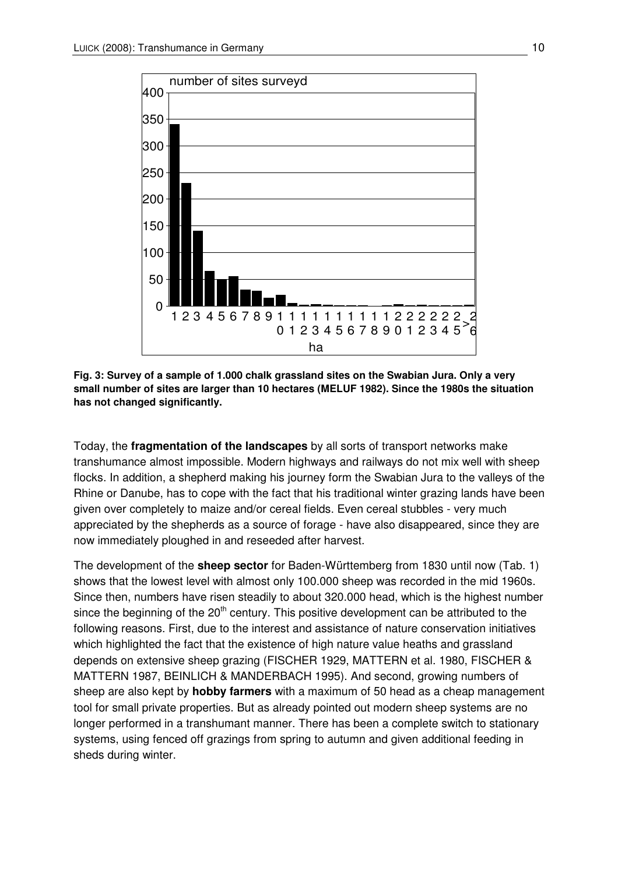

**Fig. 3: Survey of a sample of 1.000 chalk grassland sites on the Swabian Jura. Only a very small number of sites are larger than 10 hectares (MELUF 1982). Since the 1980s the situation has not changed significantly.**

Today, the **fragmentation of the landscapes** by all sorts of transport networks make transhumance almost impossible. Modern highways and railways do not mix well with sheep flocks. In addition, a shepherd making his journey form the Swabian Jura to the valleys of the Rhine or Danube, has to cope with the fact that his traditional winter grazing lands have been given over completely to maize and/or cereal fields. Even cereal stubbles - very much appreciated by the shepherds as a source of forage - have also disappeared, since they are now immediately ploughed in and reseeded after harvest.

The development of the **sheep sector** for Baden-Württemberg from 1830 until now (Tab. 1) shows that the lowest level with almost only 100.000 sheep was recorded in the mid 1960s. Since then, numbers have risen steadily to about 320.000 head, which is the highest number since the beginning of the  $20<sup>th</sup>$  century. This positive development can be attributed to the following reasons. First, due to the interest and assistance of nature conservation initiatives which highlighted the fact that the existence of high nature value heaths and grassland depends on extensive sheep grazing (FISCHER 1929, MATTERN et al. 1980, FISCHER & MATTERN 1987, BEINLICH & MANDERBACH 1995). And second, growing numbers of sheep are also kept by **hobby farmers** with a maximum of 50 head as a cheap management tool for small private properties. But as already pointed out modern sheep systems are no longer performed in a transhumant manner. There has been a complete switch to stationary systems, using fenced off grazings from spring to autumn and given additional feeding in sheds during winter.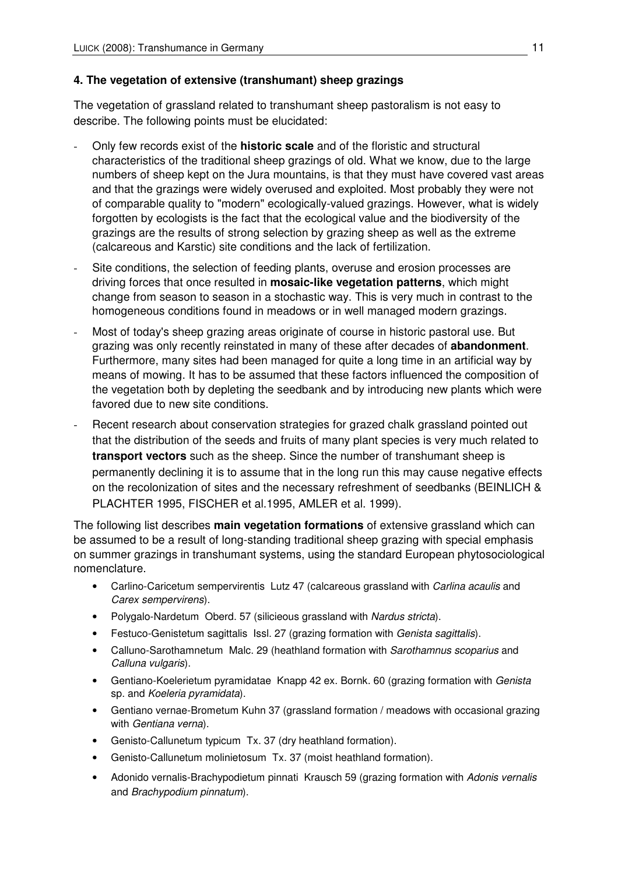#### **4. The vegetation of extensive (transhumant) sheep grazings**

The vegetation of grassland related to transhumant sheep pastoralism is not easy to describe. The following points must be elucidated:

- Only few records exist of the **historic scale** and of the floristic and structural characteristics of the traditional sheep grazings of old. What we know, due to the large numbers of sheep kept on the Jura mountains, is that they must have covered vast areas and that the grazings were widely overused and exploited. Most probably they were not of comparable quality to "modern" ecologically-valued grazings. However, what is widely forgotten by ecologists is the fact that the ecological value and the biodiversity of the grazings are the results of strong selection by grazing sheep as well as the extreme (calcareous and Karstic) site conditions and the lack of fertilization.
- Site conditions, the selection of feeding plants, overuse and erosion processes are driving forces that once resulted in **mosaic-like vegetation patterns**, which might change from season to season in a stochastic way. This is very much in contrast to the homogeneous conditions found in meadows or in well managed modern grazings.
- Most of today's sheep grazing areas originate of course in historic pastoral use. But grazing was only recently reinstated in many of these after decades of **abandonment**. Furthermore, many sites had been managed for quite a long time in an artificial way by means of mowing. It has to be assumed that these factors influenced the composition of the vegetation both by depleting the seedbank and by introducing new plants which were favored due to new site conditions.
- Recent research about conservation strategies for grazed chalk grassland pointed out that the distribution of the seeds and fruits of many plant species is very much related to **transport vectors** such as the sheep. Since the number of transhumant sheep is permanently declining it is to assume that in the long run this may cause negative effects on the recolonization of sites and the necessary refreshment of seedbanks (BEINLICH & PLACHTER 1995, FISCHER et al.1995, AMLER et al. 1999).

The following list describes **main vegetation formations** of extensive grassland which can be assumed to be a result of long-standing traditional sheep grazing with special emphasis on summer grazings in transhumant systems, using the standard European phytosociological nomenclature.

- Carlino-Caricetum sempervirentis Lutz 47 (calcareous grassland with Carlina acaulis and Carex sempervirens).
- Polygalo-Nardetum Oberd. 57 (silicieous grassland with Nardus stricta).
- Festuco-Genistetum sagittalis Issl. 27 (grazing formation with Genista sagittalis).
- Calluno-Sarothamnetum Malc. 29 (heathland formation with Sarothamnus scoparius and Calluna vulgaris).
- Gentiano-Koelerietum pyramidatae Knapp 42 ex. Bornk. 60 (grazing formation with Genista sp. and Koeleria pyramidata).
- Gentiano vernae-Brometum Kuhn 37 (grassland formation / meadows with occasional grazing with Gentiana verna).
- Genisto-Callunetum typicum Tx. 37 (dry heathland formation).
- Genisto-Callunetum molinietosum Tx. 37 (moist heathland formation).
- Adonido vernalis-Brachypodietum pinnati Krausch 59 (grazing formation with Adonis vernalis and Brachypodium pinnatum).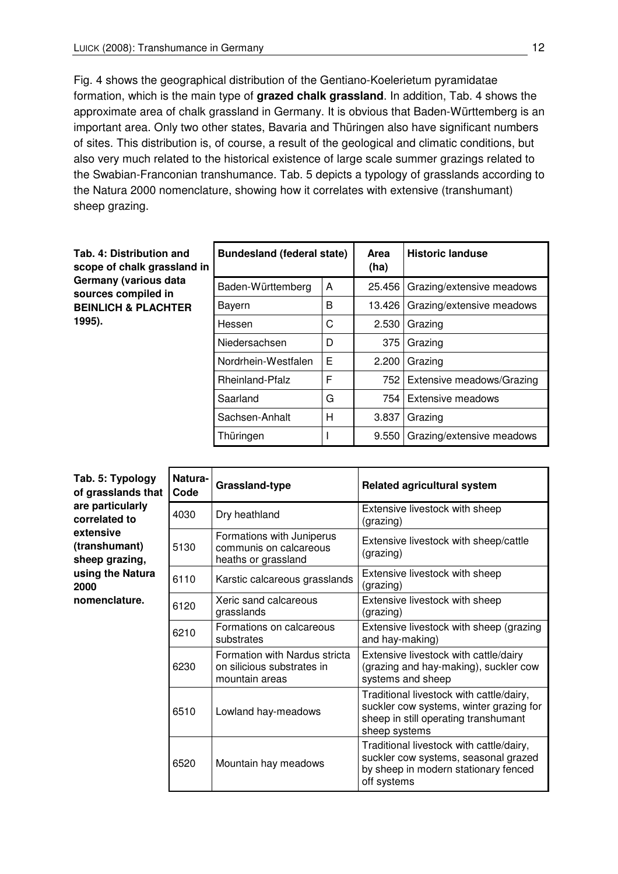Fig. 4 shows the geographical distribution of the Gentiano-Koelerietum pyramidatae formation, which is the main type of **grazed chalk grassland**. In addition, Tab. 4 shows the approximate area of chalk grassland in Germany. It is obvious that Baden-Württemberg is an important area. Only two other states, Bavaria and Thüringen also have significant numbers of sites. This distribution is, of course, a result of the geological and climatic conditions, but also very much related to the historical existence of large scale summer grazings related to the Swabian-Franconian transhumance. Tab. 5 depicts a typology of grasslands according to the Natura 2000 nomenclature, showing how it correlates with extensive (transhumant) sheep grazing.

| Tab. 4: Distribution and<br>scope of chalk grassland in | <b>Bundesland (federal state)</b> |   | Area<br>(ha) | <b>Historic landuse</b>   |
|---------------------------------------------------------|-----------------------------------|---|--------------|---------------------------|
| Germany (various data<br>sources compiled in            | Baden-Württemberg                 | A | 25.456       | Grazing/extensive meadows |
| <b>BEINLICH &amp; PLACHTER</b>                          | Bayern                            | B | 13.426       | Grazing/extensive meadows |
| 1995).                                                  | Hessen                            | C | 2.530        | Grazing                   |
|                                                         | Niedersachsen                     | D | 375          | Grazing                   |
|                                                         | Nordrhein-Westfalen               | Е | 2.200        | Grazing                   |
|                                                         | <b>Rheinland-Pfalz</b>            | F | 752          | Extensive meadows/Grazing |
|                                                         | Saarland                          | G | 754          | <b>Extensive meadows</b>  |
|                                                         | Sachsen-Anhalt                    | Н | 3.837        | Grazing                   |
|                                                         | Thüringen                         |   | 9.550        | Grazing/extensive meadows |

| Tab. 5: Typology<br>of grasslands that       | Natura-<br>Code | Grassland-type                                                                | <b>Related agricultural system</b>                                                                                                           |  |
|----------------------------------------------|-----------------|-------------------------------------------------------------------------------|----------------------------------------------------------------------------------------------------------------------------------------------|--|
| are particularly<br>correlated to            | 4030            | Dry heathland                                                                 | Extensive livestock with sheep<br>(grazing)                                                                                                  |  |
| extensive<br>(transhumant)<br>sheep grazing, | 5130            | Formations with Juniperus<br>communis on calcareous<br>heaths or grassland    | Extensive livestock with sheep/cattle<br>(grazing)                                                                                           |  |
| using the Natura<br>2000<br>nomenclature.    | 6110            | Karstic calcareous grasslands                                                 | Extensive livestock with sheep<br>(grazing)                                                                                                  |  |
|                                              | 6120            | Xeric sand calcareous<br>grasslands                                           | Extensive livestock with sheep<br>(grazing)                                                                                                  |  |
|                                              | 6210            | Formations on calcareous<br>substrates                                        | Extensive livestock with sheep (grazing<br>and hay-making)                                                                                   |  |
|                                              | 6230            | Formation with Nardus stricta<br>on silicious substrates in<br>mountain areas | Extensive livestock with cattle/dairy<br>(grazing and hay-making), suckler cow<br>systems and sheep                                          |  |
|                                              | 6510            | Lowland hay-meadows                                                           | Traditional livestock with cattle/dairy,<br>suckler cow systems, winter grazing for<br>sheep in still operating transhumant<br>sheep systems |  |
|                                              | 6520            | Mountain hay meadows                                                          | Traditional livestock with cattle/dairy,<br>suckler cow systems, seasonal grazed<br>by sheep in modern stationary fenced<br>off systems      |  |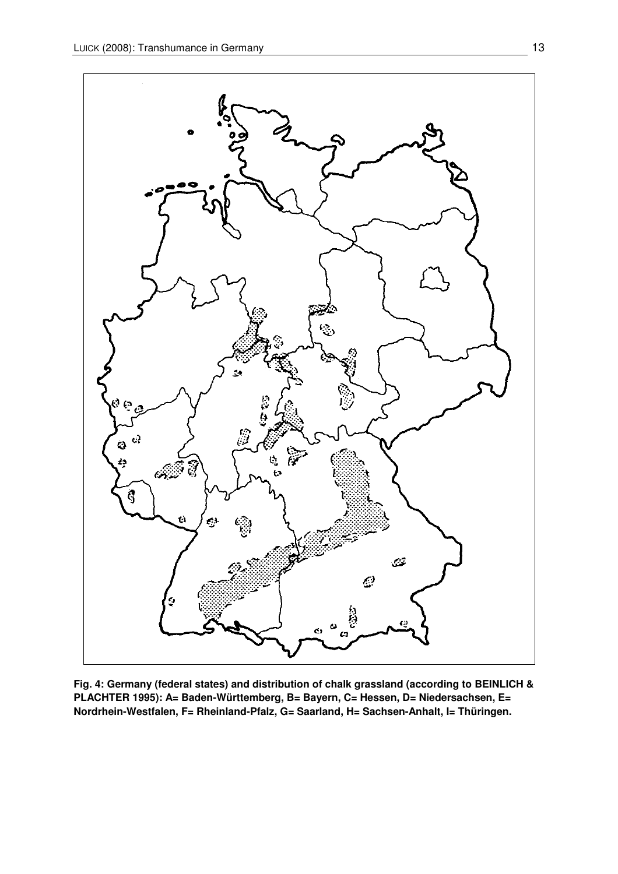

**Fig. 4: Germany (federal states) and distribution of chalk grassland (according to BEINLICH & PLACHTER 1995): A= Baden-Württemberg, B= Bayern, C= Hessen, D= Niedersachsen, E= Nordrhein-Westfalen, F= Rheinland-Pfalz, G= Saarland, H= Sachsen-Anhalt, I= Thüringen.**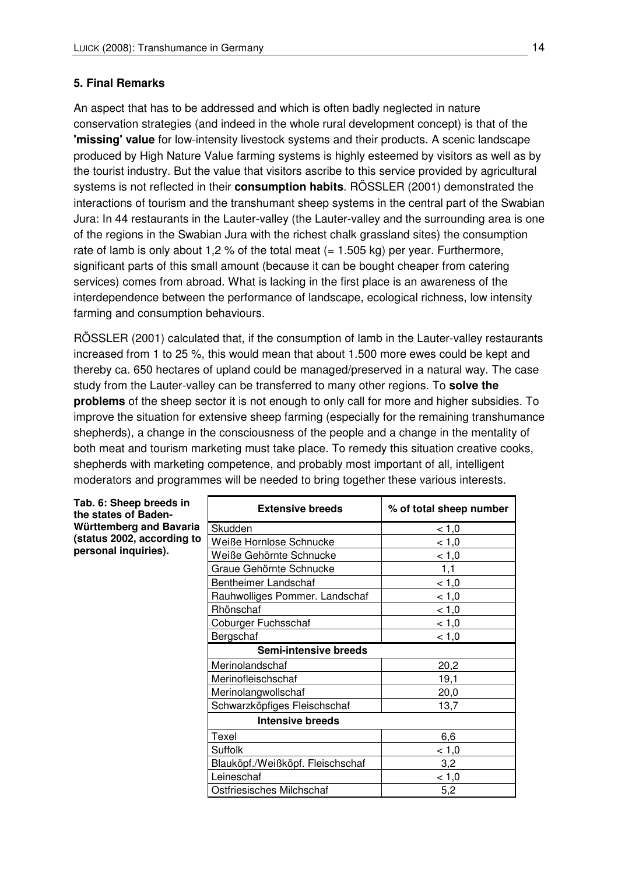### **5. Final Remarks**

An aspect that has to be addressed and which is often badly neglected in nature conservation strategies (and indeed in the whole rural development concept) is that of the **'missing' value** for low-intensity livestock systems and their products. A scenic landscape produced by High Nature Value farming systems is highly esteemed by visitors as well as by the tourist industry. But the value that visitors ascribe to this service provided by agricultural systems is not reflected in their **consumption habits**. RÖSSLER (2001) demonstrated the interactions of tourism and the transhumant sheep systems in the central part of the Swabian Jura: In 44 restaurants in the Lauter-valley (the Lauter-valley and the surrounding area is one of the regions in the Swabian Jura with the richest chalk grassland sites) the consumption rate of lamb is only about 1,2 % of the total meat  $(= 1.505 \text{ kg})$  per year. Furthermore, significant parts of this small amount (because it can be bought cheaper from catering services) comes from abroad. What is lacking in the first place is an awareness of the interdependence between the performance of landscape, ecological richness, low intensity farming and consumption behaviours.

RÖSSLER (2001) calculated that, if the consumption of lamb in the Lauter-valley restaurants increased from 1 to 25 %, this would mean that about 1.500 more ewes could be kept and thereby ca. 650 hectares of upland could be managed/preserved in a natural way. The case study from the Lauter-valley can be transferred to many other regions. To **solve the problems** of the sheep sector it is not enough to only call for more and higher subsidies. To improve the situation for extensive sheep farming (especially for the remaining transhumance shepherds), a change in the consciousness of the people and a change in the mentality of both meat and tourism marketing must take place. To remedy this situation creative cooks, shepherds with marketing competence, and probably most important of all, intelligent moderators and programmes will be needed to bring together these various interests.

| Tab. 6: Sheep breeds in<br>the states of Baden- | <b>Extensive breeds</b>          | % of total sheep number |
|-------------------------------------------------|----------------------------------|-------------------------|
| Württemberg and Bavaria                         | Skudden                          | < 1,0                   |
| (status 2002, according to                      | Weiße Hornlose Schnucke          | < 1,0                   |
| personal inquiries).                            | Weiße Gehörnte Schnucke          | < 1,0                   |
|                                                 | Graue Gehörnte Schnucke          | 1,1                     |
|                                                 | Bentheimer Landschaf             | < 1,0                   |
|                                                 | Rauhwolliges Pommer. Landschaf   | < 1,0                   |
|                                                 | Rhönschaf                        | < 1,0                   |
|                                                 | Coburger Fuchsschaf              | < 1,0                   |
|                                                 | Bergschaf                        | < 1,0                   |
|                                                 | Semi-intensive breeds            |                         |
|                                                 | Merinolandschaf                  | 20,2                    |
|                                                 | Merinofleischschaf               | 19,1                    |
|                                                 | Merinolangwollschaf              | 20,0                    |
|                                                 | Schwarzköpfiges Fleischschaf     | 13,7                    |
|                                                 | <b>Intensive breeds</b>          |                         |
|                                                 | Texel                            | 6,6                     |
|                                                 | Suffolk                          | < 1,0                   |
|                                                 | Blauköpf./Weißköpf. Fleischschaf | 3,2                     |
|                                                 | Leineschaf                       | < 1,0                   |
|                                                 | Ostfriesisches Milchschaf        | 5,2                     |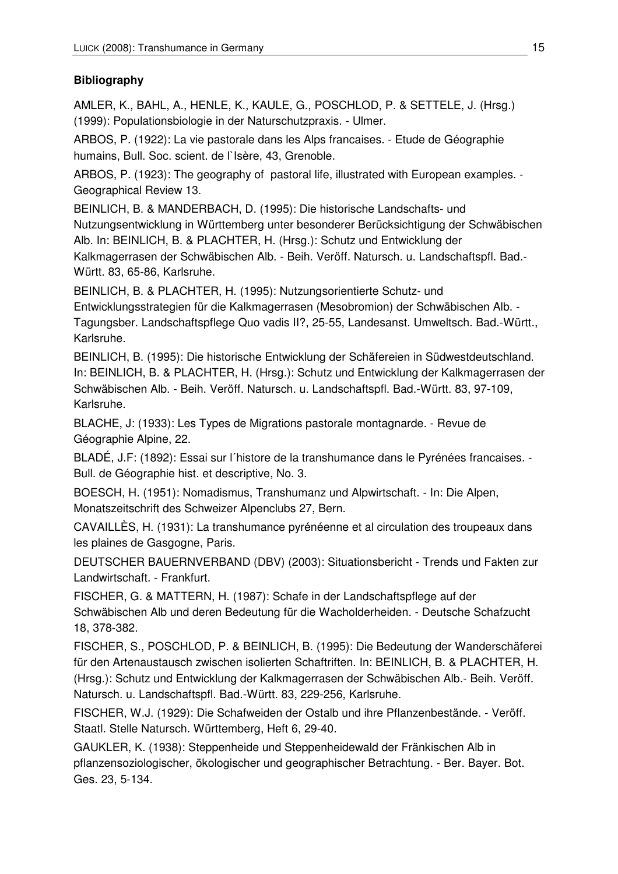# **Bibliography**

AMLER, K., BAHL, A., HENLE, K., KAULE, G., POSCHLOD, P. & SETTELE, J. (Hrsg.) (1999): Populationsbiologie in der Naturschutzpraxis. - Ulmer.

ARBOS, P. (1922): La vie pastorale dans les Alps francaises. - Etude de Géographie humains, Bull. Soc. scient. de l'Isère, 43, Grenoble.

ARBOS, P. (1923): The geography of pastoral life, illustrated with European examples. - Geographical Review 13.

BEINLICH, B. & MANDERBACH, D. (1995): Die historische Landschafts- und Nutzungsentwicklung in Württemberg unter besonderer Berücksichtigung der Schwäbischen Alb. In: BEINLICH, B. & PLACHTER, H. (Hrsg.): Schutz und Entwicklung der Kalkmagerrasen der Schwäbischen Alb. - Beih. Veröff. Natursch. u. Landschaftspfl. Bad.- Württ. 83, 65-86, Karlsruhe.

BEINLICH, B. & PLACHTER, H. (1995): Nutzungsorientierte Schutz- und Entwicklungsstrategien für die Kalkmagerrasen (Mesobromion) der Schwäbischen Alb. - Tagungsber. Landschaftspflege Quo vadis II?, 25-55, Landesanst. Umweltsch. Bad.-Württ., Karlsruhe.

BEINLICH, B. (1995): Die historische Entwicklung der Schäfereien in Südwestdeutschland. In: BEINLICH, B. & PLACHTER, H. (Hrsg.): Schutz und Entwicklung der Kalkmagerrasen der Schwäbischen Alb. - Beih. Veröff. Natursch. u. Landschaftspfl. Bad.-Württ. 83, 97-109, Karlsruhe.

BLACHE, J: (1933): Les Types de Migrations pastorale montagnarde. - Revue de Géographie Alpine, 22.

BLADÉ, J.F: (1892): Essai sur l´histore de la transhumance dans le Pyrénées francaises. - Bull. de Géographie hist. et descriptive, No. 3.

BOESCH, H. (1951): Nomadismus, Transhumanz und Alpwirtschaft. - In: Die Alpen, Monatszeitschrift des Schweizer Alpenclubs 27, Bern.

CAVAILLÈS, H. (1931): La transhumance pyrénéenne et al circulation des troupeaux dans les plaines de Gasgogne, Paris.

DEUTSCHER BAUERNVERBAND (DBV) (2003): Situationsbericht - Trends und Fakten zur Landwirtschaft. - Frankfurt.

FISCHER, G. & MATTERN, H. (1987): Schafe in der Landschaftspflege auf der Schwäbischen Alb und deren Bedeutung für die Wacholderheiden. - Deutsche Schafzucht 18, 378-382.

FISCHER, S., POSCHLOD, P. & BEINLICH, B. (1995): Die Bedeutung der Wanderschäferei für den Artenaustausch zwischen isolierten Schaftriften. In: BEINLICH, B. & PLACHTER, H. (Hrsg.): Schutz und Entwicklung der Kalkmagerrasen der Schwäbischen Alb.- Beih. Veröff. Natursch. u. Landschaftspfl. Bad.-Württ. 83, 229-256, Karlsruhe.

FISCHER, W.J. (1929): Die Schafweiden der Ostalb und ihre Pflanzenbestände. - Veröff. Staatl. Stelle Natursch. Württemberg, Heft 6, 29-40.

GAUKLER, K. (1938): Steppenheide und Steppenheidewald der Fränkischen Alb in pflanzensoziologischer, ökologischer und geographischer Betrachtung. - Ber. Bayer. Bot. Ges. 23, 5-134.